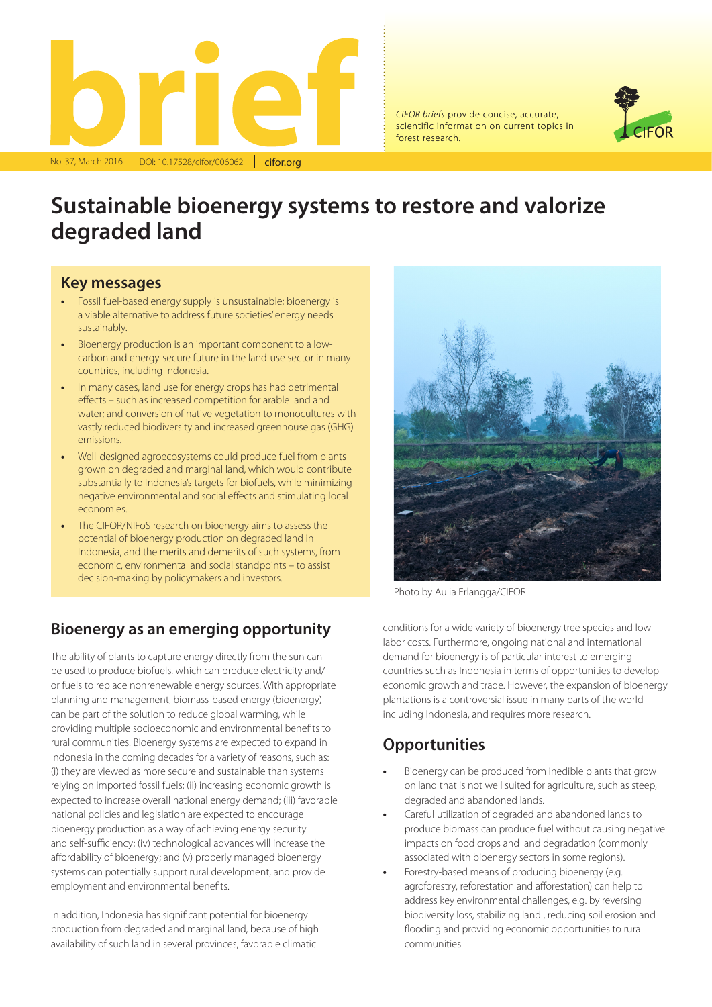

*CIFOR briefs* provide concise, accurate, scientific information on current topics in forest research.



# **Sustainable bioenergy systems to restore and valorize degraded land**

#### **Key messages**

- **•** Fossil fuel-based energy supply is unsustainable; bioenergy is a viable alternative to address future societies' energy needs sustainably.
- **•** Bioenergy production is an important component to a lowcarbon and energy-secure future in the land-use sector in many countries, including Indonesia.
- **•** In many cases, land use for energy crops has had detrimental effects – such as increased competition for arable land and water; and conversion of native vegetation to monocultures with vastly reduced biodiversity and increased greenhouse gas (GHG) emissions.
- **•** Well-designed agroecosystems could produce fuel from plants grown on degraded and marginal land, which would contribute substantially to Indonesia's targets for biofuels, while minimizing negative environmental and social effects and stimulating local economies.
- **•** The CIFOR/NIFoS research on bioenergy aims to assess the potential of bioenergy production on degraded land in Indonesia, and the merits and demerits of such systems, from economic, environmental and social standpoints – to assist decision-making by policymakers and investors.

#### **Bioenergy as an emerging opportunity**

The ability of plants to capture energy directly from the sun can be used to produce biofuels, which can produce electricity and/ or fuels to replace nonrenewable energy sources. With appropriate planning and management, biomass-based energy (bioenergy) can be part of the solution to reduce global warming, while providing multiple socioeconomic and environmental benefits to rural communities. Bioenergy systems are expected to expand in Indonesia in the coming decades for a variety of reasons, such as: (i) they are viewed as more secure and sustainable than systems relying on imported fossil fuels; (ii) increasing economic growth is expected to increase overall national energy demand; (iii) favorable national policies and legislation are expected to encourage bioenergy production as a way of achieving energy security and self-sufficiency; (iv) technological advances will increase the affordability of bioenergy; and (v) properly managed bioenergy systems can potentially support rural development, and provide employment and environmental benefits.

In addition, Indonesia has significant potential for bioenergy production from degraded and marginal land, because of high availability of such land in several provinces, favorable climatic



Photo by Aulia Erlangga/CIFOR

conditions for a wide variety of bioenergy tree species and low labor costs. Furthermore, ongoing national and international demand for bioenergy is of particular interest to emerging countries such as Indonesia in terms of opportunities to develop economic growth and trade. However, the expansion of bioenergy plantations is a controversial issue in many parts of the world including Indonesia, and requires more research.

#### **Opportunities**

- **•** Bioenergy can be produced from inedible plants that grow on land that is not well suited for agriculture, such as steep, degraded and abandoned lands.
- **•** Careful utilization of degraded and abandoned lands to produce biomass can produce fuel without causing negative impacts on food crops and land degradation (commonly associated with bioenergy sectors in some regions).
- **•** Forestry-based means of producing bioenergy (e.g. agroforestry, reforestation and afforestation) can help to address key environmental challenges, e.g. by reversing biodiversity loss, stabilizing land , reducing soil erosion and flooding and providing economic opportunities to rural communities.